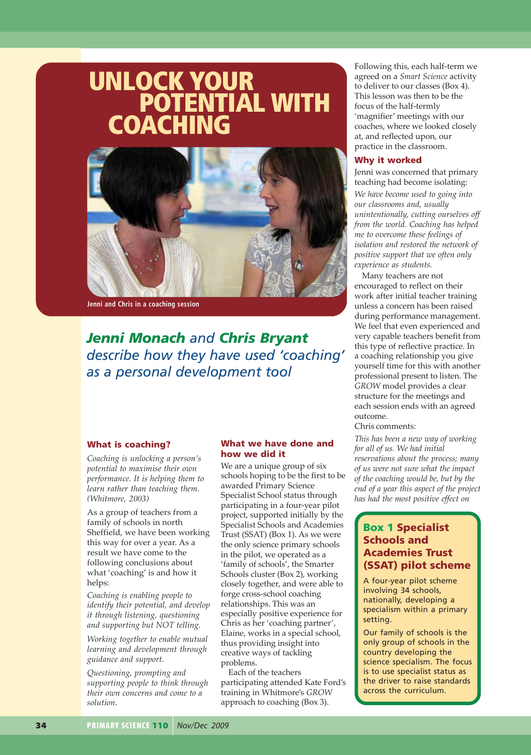# **UNLOCK YOUR POTENTIAL WITH COACHING**



**Jenni and Chris in a coaching session**

*Jenni Monach and Chris Bryant describe how they have used 'coaching' as a personal development tool*

#### **What is coaching?**

*Coaching is unlocking a person's potential to maximise their own performance. It is helping them to learn rather than teaching them. (Whitmore, 2003)*

As a group of teachers from a family of schools in north Sheffield, we have been working this way for over a year. As a result we have come to the following conclusions about what 'coaching' is and how it helps:

*Coaching is enabling people to identify their potential, and develop it through listening, questioning and supporting but NOT telling.*

*Working together to enable mutual learning and development through guidance and support.*

*Questioning, prompting and supporting people to think through their own concerns and come to a solution.*

#### **What we have done and how we did it**

We are a unique group of six schools hoping to be the first to be awarded Primary Science Specialist School status through participating in a four-year pilot project, supported initially by the Specialist Schools and Academies Trust (SSAT) (Box 1). As we were the only science primary schools in the pilot, we operated as a 'family of schools', the Smarter Schools cluster (Box 2), working closely together, and were able to forge cross-school coaching relationships. This was an especially positive experience for Chris as her 'coaching partner', Elaine, works in a special school, thus providing insight into creative ways of tackling problems.

Each of the teachers participating attended Kate Ford's training in Whitmore's *GROW* approach to coaching (Box 3).

Following this, each half-term we agreed on a *Smart Science* activity to deliver to our classes (Box 4). This lesson was then to be the focus of the half-termly 'magnifier' meetings with our coaches, where we looked closely at, and reflected upon, our practice in the classroom.

#### **Why it worked**

Jenni was concerned that primary teaching had become isolating:

*We have become used to going into our classrooms and, usually unintentionally, cutting ourselves off from the world. Coaching has helped me to overcome these feelings of isolation and restored the network of positive support that we often only experience as students.*

Many teachers are not encouraged to reflect on their work after initial teacher training unless a concern has been raised during performance management. We feel that even experienced and very capable teachers benefit from this type of reflective practice. In a coaching relationship you give yourself time for this with another professional present to listen. The *GROW* model provides a clear structure for the meetings and each session ends with an agreed outcome.

Chris comments:

*This has been a new way of working for all of us. We had initial reservations about the process; many of us were not sure what the impact of the coaching would be, but by the end of a year this aspect of the project has had the most positive effect on*

# **Box 1 Specialist Schools and Academies Trust (SSAT) pilot scheme**

A four-year pilot scheme involving 34 schools, nationally, developing a specialism within a primary setting.

Our family of schools is the only group of schools in the country developing the science specialism. The focus is to use specialist status as the driver to raise standards across the curriculum.